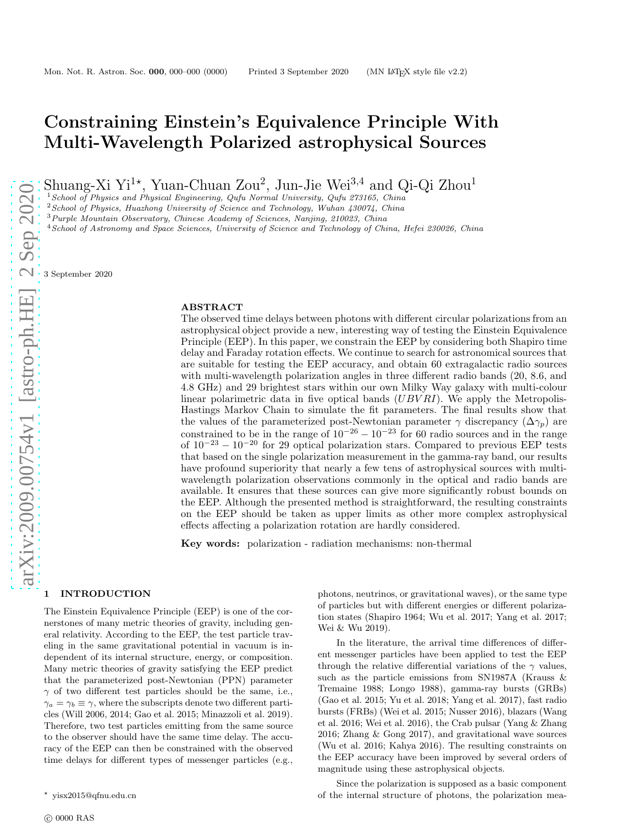# Constraining Einstein's Equivalence Principle With Multi-Wavelength Polarized astrophysical Sources

Shuang-Xi Yi<sup>1\*</sup>, Yuan-Chuan Zou<sup>2</sup>, Jun-Jie Wei<sup>3,4</sup> and Qi-Qi Zhou<sup>1</sup>

<sup>1</sup> School of Physics and Physical Engineering, Qufu Normal University, Qufu 273165, China

 $2$ School of Physics, Huazhong University of Science and Technology, Wuhan 430074, China

<sup>3</sup>Purple Mountain Observatory, Chinese Academy of Sciences, Nanjing, 210023, China

<sup>4</sup> School of Astronomy and Space Sciences, University of Science and Technology of China, Hefei 230026, China

3 September 2020

### ABSTRACT

The observed time delays between photons with different circular polarizations from an astrophysical object provide a new, interesting way of testing the Einstein Equivalence Principle (EEP). In this paper, we constrain the EEP by considering both Shapiro time delay and Faraday rotation effects. We continue to search for astronomical sources that are suitable for testing the EEP accuracy, and obtain 60 extragalactic radio sources with multi-wavelength polarization angles in three different radio bands (20, 8.6, and 4.8 GHz) and 29 brightest stars within our own Milky Way galaxy with multi-colour linear polarimetric data in five optical bands  $(UBVRI)$ . We apply the Metropolis-Hastings Markov Chain to simulate the fit parameters. The final results show that the values of the parameterized post-Newtonian parameter  $\gamma$  discrepancy  $(\Delta \gamma_p)$  are constrained to be in the range of  $10^{-26} - 10^{-23}$  for 60 radio sources and in the range of  $10^{-23} - 10^{-20}$  for 29 optical polarization stars. Compared to previous EEP tests that based on the single polarization measurement in the gamma-ray band, our results have profound superiority that nearly a few tens of astrophysical sources with multiwavelength polarization observations commonly in the optical and radio bands are available. It ensures that these sources can give more significantly robust bounds on the EEP. Although the presented method is straightforward, the resulting constraints on the EEP should be taken as upper limits as other more complex astrophysical effects affecting a polarization rotation are hardly considered.

Key words: polarization - radiation mechanisms: non-thermal

# arXiv:2009.00754v1 [astro-ph.HE] 2 Sep 2020 [arXiv:2009.00754v1 \[astro-ph.HE\] 2 Sep 2020](http://arxiv.org/abs/2009.00754v1)

### 1 INTRODUCTION

The Einstein Equivalence Principle (EEP) is one of the cornerstones of many metric theories of gravity, including general relativity. According to the EEP, the test particle traveling in the same gravitational potential in vacuum is independent of its internal structure, energy, or composition. Many metric theories of gravity satisfying the EEP predict that the parameterized post-Newtonian (PPN) parameter  $\gamma$  of two different test particles should be the same, i.e.,  $\gamma_a = \gamma_b \equiv \gamma$ , where the subscripts denote two different particles (Will 2006, 2014; Gao et al. 2015; Minazzoli et al. 2019). Therefore, two test particles emitting from the same source to the observer should have the same time delay. The accuracy of the EEP can then be constrained with the observed time delays for different types of messenger particles (e.g.,

photons, neutrinos, or gravitational waves), or the same type of particles but with different energies or different polarization states (Shapiro 1964; Wu et al. 2017; Yang et al. 2017; Wei & Wu 2019).

In the literature, the arrival time differences of different messenger particles have been applied to test the EEP through the relative differential variations of the  $\gamma$  values, such as the particle emissions from SN1987A (Krauss & Tremaine 1988; Longo 1988), gamma-ray bursts (GRBs) (Gao et al. 2015; Yu et al. 2018; Yang et al. 2017), fast radio bursts (FRBs) (Wei et al. 2015; Nusser 2016), blazars (Wang et al. 2016; Wei et al. 2016), the Crab pulsar (Yang & Zhang 2016; Zhang & Gong 2017), and gravitational wave sources (Wu et al. 2016; Kahya 2016). The resulting constraints on the EEP accuracy have been improved by several orders of magnitude using these astrophysical objects.

Since the polarization is supposed as a basic component of the internal structure of photons, the polarization mea-

<sup>⋆</sup> yisx2015@qfnu.edu.cn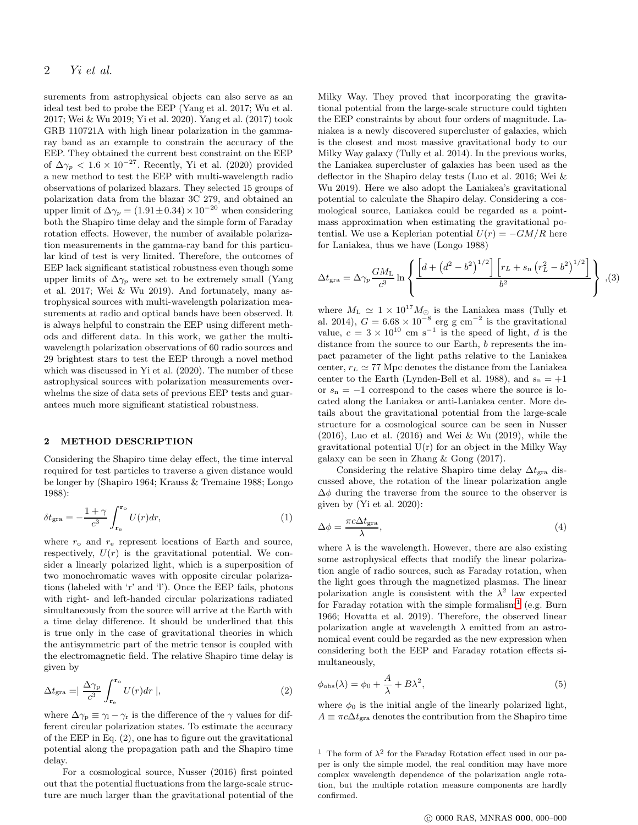surements from astrophysical objects can also serve as an ideal test bed to probe the EEP (Yang et al. 2017; Wu et al. 2017; Wei & Wu 2019; Yi et al. 2020). Yang et al. (2017) took GRB 110721A with high linear polarization in the gammaray band as an example to constrain the accuracy of the EEP. They obtained the current best constraint on the EEP of  $\Delta\gamma_p < 1.6 \times 10^{-27}$ . Recently, Yi et al. (2020) provided a new method to test the EEP with multi-wavelength radio observations of polarized blazars. They selected 15 groups of polarization data from the blazar 3C 279, and obtained an upper limit of  $\Delta \gamma_p = (1.91 \pm 0.34) \times 10^{-20}$  when considering both the Shapiro time delay and the simple form of Faraday rotation effects. However, the number of available polarization measurements in the gamma-ray band for this particular kind of test is very limited. Therefore, the outcomes of EEP lack significant statistical robustness even though some upper limits of  $\Delta\gamma_p$  were set to be extremely small (Yang et al. 2017; Wei & Wu 2019). And fortunately, many astrophysical sources with multi-wavelength polarization measurements at radio and optical bands have been observed. It is always helpful to constrain the EEP using different methods and different data. In this work, we gather the multiwavelength polarization observations of 60 radio sources and 29 brightest stars to test the EEP through a novel method which was discussed in Yi et al. (2020). The number of these astrophysical sources with polarization measurements overwhelms the size of data sets of previous EEP tests and guarantees much more significant statistical robustness.

### 2 METHOD DESCRIPTION

Considering the Shapiro time delay effect, the time interval required for test particles to traverse a given distance would be longer by (Shapiro 1964; Krauss & Tremaine 1988; Longo 1988):

$$
\delta t_{\rm gra} = -\frac{1+\gamma}{c^3} \int_{\mathbf{r}_{\rm e}}^{\mathbf{r}_{\rm o}} U(r) dr,\tag{1}
$$

where  $r_0$  and  $r_e$  represent locations of Earth and source, respectively,  $U(r)$  is the gravitational potential. We consider a linearly polarized light, which is a superposition of two monochromatic waves with opposite circular polarizations (labeled with 'r' and 'l'). Once the EEP fails, photons with right- and left-handed circular polarizations radiated simultaneously from the source will arrive at the Earth with a time delay difference. It should be underlined that this is true only in the case of gravitational theories in which the antisymmetric part of the metric tensor is coupled with the electromagnetic field. The relative Shapiro time delay is given by

$$
\Delta t_{\rm gra} = \left| \frac{\Delta \gamma_{\rm p}}{c^3} \int_{\mathbf{r}_{\rm e}}^{\mathbf{r}_{\rm o}} U(r) dr \right|, \tag{2}
$$

where  $\Delta\gamma_{\rm p} \equiv \gamma_{\rm l} - \gamma_{\rm r}$  is the difference of the  $\gamma$  values for different circular polarization states. To estimate the accuracy of the EEP in Eq. (2), one has to figure out the gravitational potential along the propagation path and the Shapiro time delay.

For a cosmological source, Nusser (2016) first pointed out that the potential fluctuations from the large-scale structure are much larger than the gravitational potential of the Milky Way. They proved that incorporating the gravitational potential from the large-scale structure could tighten the EEP constraints by about four orders of magnitude. Laniakea is a newly discovered supercluster of galaxies, which is the closest and most massive gravitational body to our Milky Way galaxy (Tully et al. 2014). In the previous works, the Laniakea supercluster of galaxies has been used as the deflector in the Shapiro delay tests (Luo et al. 2016; Wei & Wu 2019). Here we also adopt the Laniakea's gravitational potential to calculate the Shapiro delay. Considering a cosmological source, Laniakea could be regarded as a pointmass approximation when estimating the gravitational potential. We use a Keplerian potential  $U(r) = -GM/R$  here for Laniakea, thus we have (Longo 1988)

$$
\Delta t_{\rm gra} = \Delta \gamma_p \frac{GM_{\rm L}}{c^3} \ln \left\{ \frac{\left[ d + \left( d^2 - b^2 \right)^{1/2} \right] \left[ r_L + s_{\rm n} \left( r_L^2 - b^2 \right)^{1/2} \right]}{b^2} \right\} , (3)
$$

where  $M_L \simeq 1 \times 10^{17} M_{\odot}$  is the Laniakea mass (Tully et al. 2014),  $G = 6.68 \times 10^{-8}$  erg g cm<sup>-2</sup> is the gravitational value,  $c = 3 \times 10^{10}$  cm s<sup>-1</sup> is the speed of light, d is the distance from the source to our Earth,  $b$  represents the impact parameter of the light paths relative to the Laniakea center,  $r_L \simeq 77$  Mpc denotes the distance from the Laniakea center to the Earth (Lynden-Bell et al. 1988), and  $s_n = +1$ or  $s_n = -1$  correspond to the cases where the source is located along the Laniakea or anti-Laniakea center. More details about the gravitational potential from the large-scale structure for a cosmological source can be seen in Nusser (2016), Luo et al. (2016) and Wei & Wu (2019), while the gravitational potential  $U(r)$  for an object in the Milky Way galaxy can be seen in Zhang & Gong (2017).

Considering the relative Shapiro time delay  $\Delta t_{\text{gra}}$  discussed above, the rotation of the linear polarization angle  $\Delta\phi$  during the traverse from the source to the observer is given by (Yi et al. 2020):

$$
\Delta \phi = \frac{\pi c \Delta t_{\text{gra}}}{\lambda},\tag{4}
$$

where  $\lambda$  is the wavelength. However, there are also existing some astrophysical effects that modify the linear polarization angle of radio sources, such as Faraday rotation, when the light goes through the magnetized plasmas. The linear polarization angle is consistent with the  $\lambda^2$  law expected for Faraday rotation with the simple formalism<sup>[1](#page-1-0)</sup> (e.g. Burn 1966; Hovatta et al. 2019). Therefore, the observed linear polarization angle at wavelength  $\lambda$  emitted from an astronomical event could be regarded as the new expression when considering both the EEP and Faraday rotation effects simultaneously,

$$
\phi_{\rm obs}(\lambda) = \phi_0 + \frac{A}{\lambda} + B\lambda^2,\tag{5}
$$

where  $\phi_0$  is the initial angle of the linearly polarized light,  $A \equiv \pi c \Delta t_{\text{gra}}$  denotes the contribution from the Shapiro time

<span id="page-1-0"></span><sup>1</sup> The form of  $\lambda^2$  for the Faraday Rotation effect used in our paper is only the simple model, the real condition may have more complex wavelength dependence of the polarization angle rotation, but the multiple rotation measure components are hardly confirmed.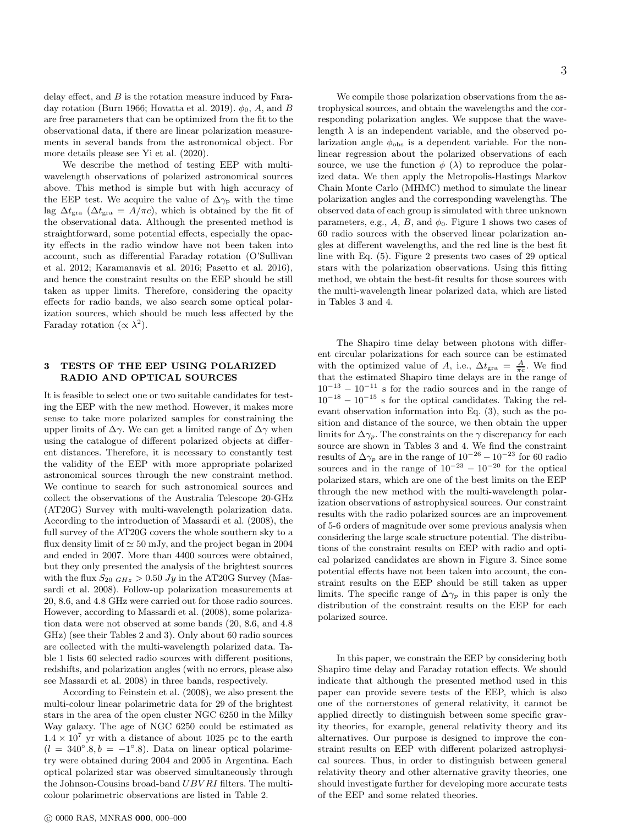delay effect, and  $B$  is the rotation measure induced by Faraday rotation (Burn 1966; Hovatta et al. 2019).  $\phi_0$ , A, and B are free parameters that can be optimized from the fit to the observational data, if there are linear polarization measurements in several bands from the astronomical object. For more details please see Yi et al. (2020).

We describe the method of testing EEP with multiwavelength observations of polarized astronomical sources above. This method is simple but with high accuracy of the EEP test. We acquire the value of  $\Delta\gamma_p$  with the time lag  $\Delta t_{\rm gra}$  ( $\Delta t_{\rm gra} = A/\pi c$ ), which is obtained by the fit of the observational data. Although the presented method is straightforward, some potential effects, especially the opacity effects in the radio window have not been taken into account, such as differential Faraday rotation (O'Sullivan et al. 2012; Karamanavis et al. 2016; Pasetto et al. 2016), and hence the constraint results on the EEP should be still taken as upper limits. Therefore, considering the opacity effects for radio bands, we also search some optical polarization sources, which should be much less affected by the Faraday rotation ( $\propto \lambda^2$ ).

### 3 TESTS OF THE EEP USING POLARIZED RADIO AND OPTICAL SOURCES

It is feasible to select one or two suitable candidates for testing the EEP with the new method. However, it makes more sense to take more polarized samples for constraining the upper limits of  $\Delta \gamma$ . We can get a limited range of  $\Delta \gamma$  when using the catalogue of different polarized objects at different distances. Therefore, it is necessary to constantly test the validity of the EEP with more appropriate polarized astronomical sources through the new constraint method. We continue to search for such astronomical sources and collect the observations of the Australia Telescope 20-GHz (AT20G) Survey with multi-wavelength polarization data. According to the introduction of Massardi et al. (2008), the full survey of the AT20G covers the whole southern sky to a flux density limit of  $\simeq 50$  mJy, and the project began in 2004 and ended in 2007. More than 4400 sources were obtained, but they only presented the analysis of the brightest sources with the flux  $S_{20\ GHz} > 0.50\ Jy$  in the AT20G Survey (Massardi et al. 2008). Follow-up polarization measurements at 20, 8.6, and 4.8 GHz were carried out for those radio sources. However, according to Massardi et al. (2008), some polarization data were not observed at some bands (20, 8.6, and 4.8 GHz) (see their Tables 2 and 3). Only about 60 radio sources are collected with the multi-wavelength polarized data. Table 1 lists 60 selected radio sources with different positions, redshifts, and polarization angles (with no errors, please also see Massardi et al. 2008) in three bands, respectively.

According to Feinstein et al. (2008), we also present the multi-colour linear polarimetric data for 29 of the brightest stars in the area of the open cluster NGC 6250 in the Milky Way galaxy. The age of NGC 6250 could be estimated as  $1.4 \times 10^7$  yr with a distance of about 1025 pc to the earth  $(l = 340°.8, b = -1°.8)$ . Data on linear optical polarimetry were obtained during 2004 and 2005 in Argentina. Each optical polarized star was observed simultaneously through the Johnson-Cousins broad-band UBV RI filters. The multicolour polarimetric observations are listed in Table 2.

We compile those polarization observations from the astrophysical sources, and obtain the wavelengths and the corresponding polarization angles. We suppose that the wavelength  $\lambda$  is an independent variable, and the observed polarization angle  $\phi_{\rm obs}$  is a dependent variable. For the nonlinear regression about the polarized observations of each source, we use the function  $\phi(\lambda)$  to reproduce the polarized data. We then apply the Metropolis-Hastings Markov Chain Monte Carlo (MHMC) method to simulate the linear polarization angles and the corresponding wavelengths. The observed data of each group is simulated with three unknown parameters, e.g.,  $A$ ,  $B$ , and  $\phi_0$ . Figure 1 shows two cases of 60 radio sources with the observed linear polarization angles at different wavelengths, and the red line is the best fit line with Eq. (5). Figure 2 presents two cases of 29 optical stars with the polarization observations. Using this fitting method, we obtain the best-fit results for those sources with the multi-wavelength linear polarized data, which are listed in Tables 3 and 4.

The Shapiro time delay between photons with different circular polarizations for each source can be estimated with the optimized value of A, i.e.,  $\Delta t_{\text{gra}} = \frac{A}{\pi c}$ . We find that the estimated Shapiro time delays are in the range of  $10^{-13} - 10^{-11}$  s for the radio sources and in the range of  $10^{-18} - 10^{-15}$  s for the optical candidates. Taking the relevant observation information into Eq. (3), such as the position and distance of the source, we then obtain the upper limits for  $\Delta\gamma_p$ . The constraints on the  $\gamma$  discrepancy for each source are shown in Tables 3 and 4. We find the constraint results of  $\Delta\gamma_p$  are in the range of  $10^{-26} - 10^{-23}$  for 60 radio sources and in the range of  $10^{-23} - 10^{-20}$  for the optical polarized stars, which are one of the best limits on the EEP through the new method with the multi-wavelength polarization observations of astrophysical sources. Our constraint results with the radio polarized sources are an improvement of 5-6 orders of magnitude over some previous analysis when considering the large scale structure potential. The distributions of the constraint results on EEP with radio and optical polarized candidates are shown in Figure 3. Since some potential effects have not been taken into account, the constraint results on the EEP should be still taken as upper limits. The specific range of  $\Delta\gamma_p$  in this paper is only the distribution of the constraint results on the EEP for each polarized source.

In this paper, we constrain the EEP by considering both Shapiro time delay and Faraday rotation effects. We should indicate that although the presented method used in this paper can provide severe tests of the EEP, which is also one of the cornerstones of general relativity, it cannot be applied directly to distinguish between some specific gravity theories, for example, general relativity theory and its alternatives. Our purpose is designed to improve the constraint results on EEP with different polarized astrophysical sources. Thus, in order to distinguish between general relativity theory and other alternative gravity theories, one should investigate further for developing more accurate tests of the EEP and some related theories.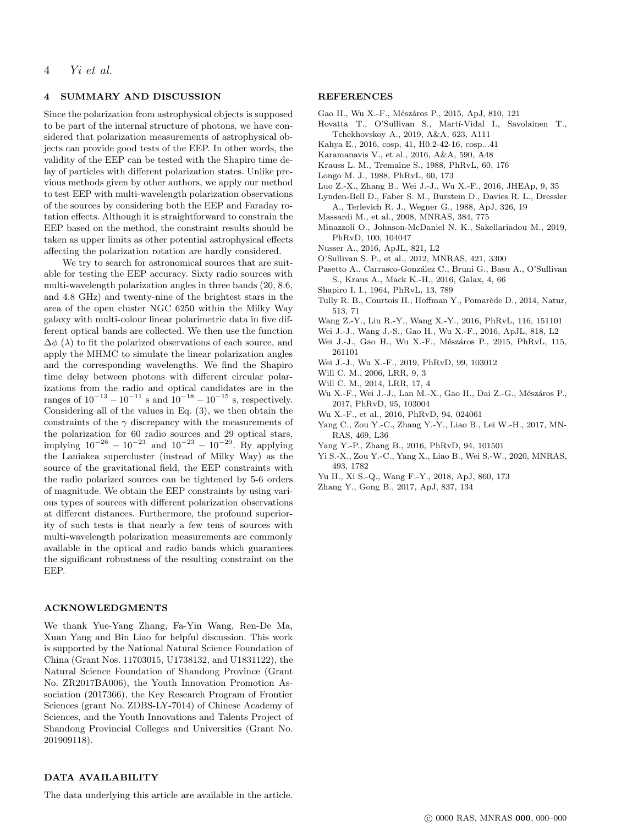### 4 SUMMARY AND DISCUSSION

Since the polarization from astrophysical objects is supposed to be part of the internal structure of photons, we have considered that polarization measurements of astrophysical objects can provide good tests of the EEP. In other words, the validity of the EEP can be tested with the Shapiro time delay of particles with different polarization states. Unlike previous methods given by other authors, we apply our method to test EEP with multi-wavelength polarization observations of the sources by considering both the EEP and Faraday rotation effects. Although it is straightforward to constrain the EEP based on the method, the constraint results should be taken as upper limits as other potential astrophysical effects affecting the polarization rotation are hardly considered.

We try to search for astronomical sources that are suitable for testing the EEP accuracy. Sixty radio sources with multi-wavelength polarization angles in three bands (20, 8.6, and 4.8 GHz) and twenty-nine of the brightest stars in the area of the open cluster NGC 6250 within the Milky Way galaxy with multi-colour linear polarimetric data in five different optical bands are collected. We then use the function  $\Delta\phi$  ( $\lambda$ ) to fit the polarized observations of each source, and apply the MHMC to simulate the linear polarization angles and the corresponding wavelengths. We find the Shapiro time delay between photons with different circular polarizations from the radio and optical candidates are in the ranges of  $10^{-13} - 10^{-11}$  s and  $10^{-18} - 10^{-15}$  s, respectively. Considering all of the values in Eq. (3), we then obtain the constraints of the  $\gamma$  discrepancy with the measurements of the polarization for 60 radio sources and 29 optical stars, implying  $10^{-26} - 10^{-23}$  and  $10^{-23} - 10^{-20}$ . By applying the Laniakea supercluster (instead of Milky Way) as the source of the gravitational field, the EEP constraints with the radio polarized sources can be tightened by 5-6 orders of magnitude. We obtain the EEP constraints by using various types of sources with different polarization observations at different distances. Furthermore, the profound superiority of such tests is that nearly a few tens of sources with multi-wavelength polarization measurements are commonly available in the optical and radio bands which guarantees the significant robustness of the resulting constraint on the EEP.

### ACKNOWLEDGMENTS

We thank Yue-Yang Zhang, Fa-Yin Wang, Ren-De Ma, Xuan Yang and Bin Liao for helpful discussion. This work is supported by the National Natural Science Foundation of China (Grant Nos. 11703015, U1738132, and U1831122), the Natural Science Foundation of Shandong Province (Grant No. ZR2017BA006), the Youth Innovation Promotion Association (2017366), the Key Research Program of Frontier Sciences (grant No. ZDBS-LY-7014) of Chinese Academy of Sciences, and the Youth Innovations and Talents Project of Shandong Provincial Colleges and Universities (Grant No. 201909118).

### REFERENCES

- Gao H., Wu X.-F., Mészáros P., 2015, ApJ, 810, 121
- Hovatta T., O'Sullivan S., Martí-Vidal I., Savolainen T., Tchekhovskoy A., 2019, A&A, 623, A111
- Kahya E., 2016, cosp, 41, H0.2-42-16, cosp...41
- Karamanavis V., et al., 2016, A&A, 590, A48
- Krauss L. M., Tremaine S., 1988, PhRvL, 60, 176
- Longo M. J., 1988, PhRvL, 60, 173
- Luo Z.-X., Zhang B., Wei J.-J., Wu X.-F., 2016, JHEAp, 9, 35
- Lynden-Bell D., Faber S. M., Burstein D., Davies R. L., Dressler A., Terlevich R. J., Wegner G., 1988, ApJ, 326, 19
- 
- Massardi M., et al., 2008, MNRAS, 384, 775
- Minazzoli O., Johnson-McDaniel N. K., Sakellariadou M., 2019, PhRvD, 100, 104047
- Nusser A., 2016, ApJL, 821, L2
- O'Sullivan S. P., et al., 2012, MNRAS, 421, 3300
- Pasetto A., Carrasco-González C., Bruni G., Basu A., O'Sullivan S., Kraus A., Mack K.-H., 2016, Galax, 4, 66
- Shapiro I. I., 1964, PhRvL, 13, 789
- Tully R. B., Courtois H., Hoffman Y., Pomarède D., 2014, Natur, 513, 71
- Wang Z.-Y., Liu R.-Y., Wang X.-Y., 2016, PhRvL, 116, 151101
- Wei J.-J., Wang J.-S., Gao H., Wu X.-F., 2016, ApJL, 818, L2
- Wei J.-J., Gao H., Wu X.-F., Mészáros P., 2015, PhRvL, 115, 261101
- Wei J.-J., Wu X.-F., 2019, PhRvD, 99, 103012
- Will C. M., 2006, LRR, 9, 3
- Will C. M., 2014, LRR, 17, 4
- Wu X.-F., Wei J.-J., Lan M.-X., Gao H., Dai Z.-G., Mészáros P., 2017, PhRvD, 95, 103004
- Wu X.-F., et al., 2016, PhRvD, 94, 024061
- Yang C., Zou Y.-C., Zhang Y.-Y., Liao B., Lei W.-H., 2017, MN-RAS, 469, L36
- Yang Y.-P., Zhang B., 2016, PhRvD, 94, 101501
- Yi S.-X., Zou Y.-C., Yang X., Liao B., Wei S.-W., 2020, MNRAS, 493, 1782
- Yu H., Xi S.-Q., Wang F.-Y., 2018, ApJ, 860, 173
- Zhang Y., Gong B., 2017, ApJ, 837, 134

### DATA AVAILABILITY

The data underlying this article are available in the article.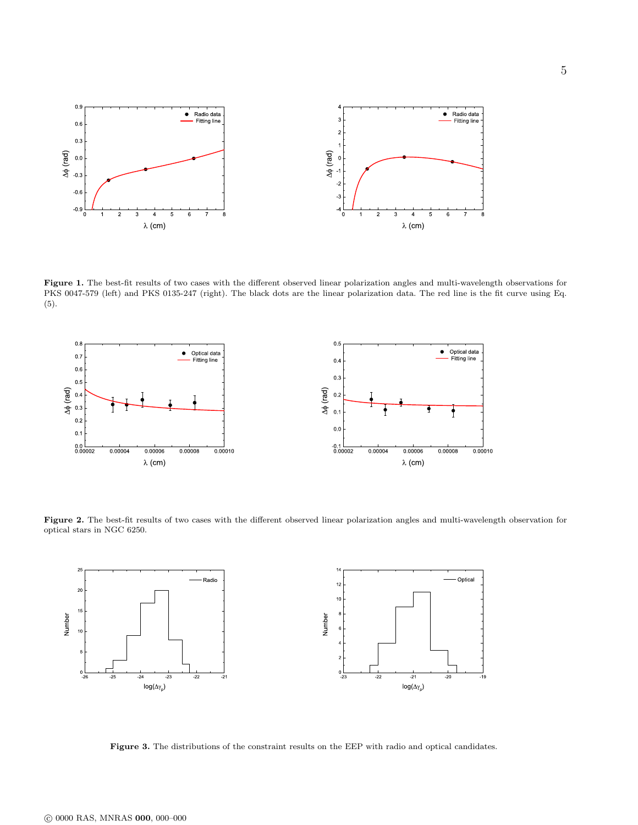

Figure 1. The best-fit results of two cases with the different observed linear polarization angles and multi-wavelength observations for PKS 0047-579 (left) and PKS 0135-247 (right). The black dots are the linear polarization data. The red line is the fit curve using Eq. (5).



Figure 2. The best-fit results of two cases with the different observed linear polarization angles and multi-wavelength observation for optical stars in NGC 6250.



Figure 3. The distributions of the constraint results on the EEP with radio and optical candidates.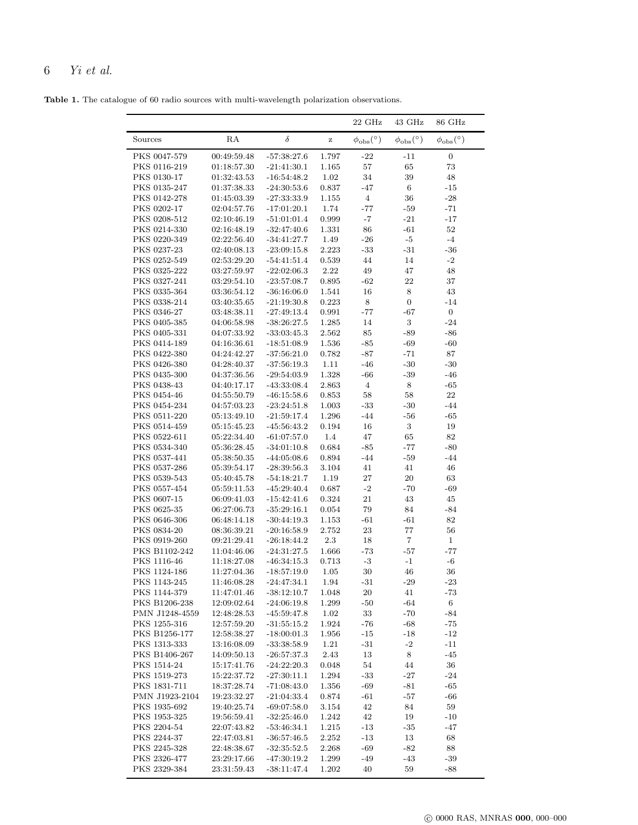## 6 Yi et al.

Table 1. The catalogue of 60 radio sources with multi-wavelength polarization observations.

|                              |                               |                                |                | $22 \text{ GHz}$         | 43 GHz                    | 86 GHz                    |
|------------------------------|-------------------------------|--------------------------------|----------------|--------------------------|---------------------------|---------------------------|
| Sources                      | RA                            | δ                              | $\bf{Z}$       | $\phi_{\rm obs}(^\circ)$ | $\phi_{\rm obs} (^\circ)$ | $\phi_{\rm obs} (^\circ)$ |
| PKS 0047-579                 | 00:49:59.48                   | $-57:38:27.6$                  | 1.797          | $-22$                    | $-11$                     | $\boldsymbol{0}$          |
| PKS 0116-219                 | 01:18:57.30                   | $-21:41:30.1$                  | 1.165          | $57\,$                   | 65                        | $73\,$                    |
| PKS 0130-17                  | 01:32:43.53                   | $-16.54.48.2$                  | 1.02           | 34                       | 39                        | 48                        |
| PKS 0135-247                 | 01:37:38.33                   | $-24:30:53.6$                  | 0.837          | -47                      | $\,6\,$                   | -15                       |
| PKS 0142-278                 | 01:45:03.39                   | $-27:33:33.9$                  | 1.155          | $\overline{4}$           | 36                        | $-28$                     |
| PKS 0202-17                  | 02:04:57.76                   | $-17:01:20.1$                  | 1.74           | -77                      | -59                       | -71                       |
| PKS 0208-512                 | 02:10:46.19                   | $-51:01:01.4$                  | 0.999          | -7                       | $-21$                     | -17                       |
| PKS 0214-330                 | 02:16:48.19                   | $-32.47.40.6$                  | 1.331          | 86                       | -61                       | $52\,$                    |
| PKS 0220-349                 | 02:22:56.40                   | $-34:41:27.7$                  | 1.49           | $-26$                    | $-5$                      | $-4$                      |
| PKS 0237-23                  | 02:40:08.13                   | $\textbf{-23:09:15.8}$         | 2.223          | $-33$                    | $-31$                     | $-36$                     |
| PKS 0252-549                 | 02:53:29.20                   | $-54.41.51.4$                  | 0.539          | 44                       | 14                        | $-2$                      |
| PKS 0325-222                 | $03\!\!:\!\!27\!\!:\!\!59.97$ | $-22:02:06.3$                  | 2.22           | 49                       | 47                        | 48                        |
| PKS 0327-241                 | 03.29.54.10                   | $-23.57:08.7$                  | 0.895          | $-62$                    | 22                        | 37                        |
| PKS 0335-364<br>PKS 0338-214 | 03:36:54.12                   | $-36:16:06.0$<br>$-21:19:30.8$ | 1.541          | 16<br>$\,8\,$            | 8                         | 43                        |
| PKS 0346-27                  | 03:40:35.65                   | $-27:49:13.4$                  | 0.223          |                          | $\boldsymbol{0}$          | $-14$<br>$\boldsymbol{0}$ |
| PKS 0405-385                 | 03:48:38.11<br>04:06:58.98    |                                | 0.991<br>1.285 | $-77$<br>14              | -67<br>$\,3$              | $-24$                     |
| PKS 0405-331                 | 04:07:33.92                   | $-38.26.27.5$                  | 2.562          | 85                       | -89                       | -86                       |
| PKS 0414-189                 | 04:16:36.61                   | $-33.03.45.3$<br>$-18:51:08.9$ | 1.536          | -85                      | -69                       | -60                       |
| PKS 0422-380                 | 04:24:42.27                   | $-37:56:21.0$                  | 0.782          | $-87$                    | -71                       | 87                        |
| PKS 0426-380                 | 04:28:40.37                   | $-37:56:19.3$                  | 1.11           | $-46$                    | $-30$                     | $-30$                     |
| PKS 0435-300                 | 04:37:36.56                   | $-29:54:03.9$                  | 1.328          | $-66$                    | $-39$                     | -46                       |
| PKS 0438-43                  | 04:40:17.17                   | $-43.33.08.4$                  | 2.863          | $\overline{4}$           | $\,8\,$                   | $-65$                     |
| PKS 0454-46                  | 04:55:50.79                   | $-46.15.58.6$                  | 0.853          | 58                       | 58                        | $22\,$                    |
| PKS 0454-234                 | 04:57:03.23                   | $-23:24:51.8$                  | 1.003          | $-33$                    | $-30$                     | -44                       |
| PKS 0511-220                 | 05:13:49.10                   | $-21:59:17.4$                  | 1.296          | $-44$                    | -56                       | -65                       |
| PKS 0514-459                 | 05:15:45.23                   | $-45:56:43.2$                  | 0.194          | 16                       | 3                         | 19                        |
| PKS 0522-611                 | 05:22:34.40                   | $-61:07:57.0$                  | 1.4            | 47                       | 65                        | 82                        |
| PKS 0534-340                 | 05:36:28.45                   | $-34:01:10.8$                  | 0.684          | $-85$                    | -77                       | -80                       |
| PKS 0537-441                 | 05:38:50.35                   | $-44:05:08.6$                  | 0.894          | $-44$                    | $-59$                     | -44                       |
| PKS 0537-286                 | 05:39:54.17                   | $-28:39:56.3$                  | 3.104          | 41                       | 41                        | 46                        |
| PKS 0539-543                 | 05:40:45.78                   | $-54:18:21.7$                  | 1.19           | 27                       | 20                        | 63                        |
| PKS 0557-454                 | 05:59:11.53                   | $-45.29.40.4$                  | 0.687          | $-2$                     | $-70$                     | -69                       |
| PKS 0607-15                  | 06:09:41.03                   | $-15:42:41.6$                  | 0.324          | $21\,$                   | 43                        | 45                        |
| PKS 0625-35                  | 06:27:06.73                   | $-35.29.16.1$                  | 0.054          | 79                       | 84                        | $-84$                     |
| PKS 0646-306                 | 06:48:14.18                   | $-30:44:19.3$                  | 1.153          | $-61$                    | -61                       | 82                        |
| PKS 0834-20                  | 08:36:39.21                   | $-20:16:58.9$                  | 2.752          | 23                       | 77                        | 56                        |
| PKS 0919-260                 | 09:21:29.41                   | $-26:18:44.2$                  | 2.3            | 18                       | $\,7$                     | $\mathbf{1}$              |
| PKS B1102-242                | 11:04:46.06                   | $-24.31.27.5$                  | 1.666          | $-73$                    | -57                       | -77                       |
| PKS 1116-46                  | 11:18:27.08                   | $-46:34:15.3$                  | 0.713          | $-3$                     | -1                        | $-6$                      |
| PKS 1124-186                 | 11:27:04.36                   | $-18.57:19.0$                  | 1.05           | 30                       | 46                        | 36                        |
| PKS 1143-245<br>PKS 1144-379 | 11:46:08.28<br>11:47:01.46    | $-24.47.34.1$<br>$-38:12:10.7$ | 1.94           | $-31$<br>20              | -29<br>41                 | -23<br>$-73$              |
| PKS B1206-238                | 12:09:02.64                   | $-24:06:19.8$                  | 1.048<br>1.299 | $-50$                    | -64                       | 6                         |
| PMN J1248-4559               | 12:48:28.53                   | $-45.59.47.8$                  | 1.02           | 33                       | $-70$                     | $-84$                     |
| PKS 1255-316                 | 12:57:59.20                   | $-31:55:15.2$                  | 1.924          | -76                      | -68                       | -75                       |
| PKS B1256-177                | 12:58:38.27                   | $-18:00:01.3$                  | 1.956          | -15                      | -18                       | $-12$                     |
| PKS 1313-333                 | 13:16:08.09                   | $-33:38:58.9$                  | 1.21           | $-31$                    | $-2$                      | $-11$                     |
| PKS B1406-267                | 14:09:50.13                   | $-26:57:37.3$                  | 2.43           | 13                       | 8                         | -45                       |
| PKS 1514-24                  | 15:17:41.76                   | $-24:22:20.3$                  | 0.048          | 54                       | 44                        | 36                        |
| PKS 1519-273                 | 15:22:37.72                   | $-27.30:11.1$                  | 1.294          | $-33$                    | $-27$                     | $-24$                     |
| PKS 1831-711                 | 18:37:28.74                   | $-71.08:43.0$                  | 1.356          | $-69$                    | -81                       | -65                       |
| PMN J1923-2104               | 19:23:32.27                   | $-21:04:33.4$                  | 0.874          | $-61$                    | -57                       | -66                       |
| PKS 1935-692                 | 19:40:25.74                   | $-69.07:58.0$                  | 3.154          | 42                       | 84                        | 59                        |
| PKS 1953-325                 | 19:56:59.41                   | $-32:25:46.0$                  | 1.242          | 42                       | 19                        | -10                       |
| PKS 2204-54                  | 22:07:43.82                   | $-53.46.34.1$                  | 1.215          | -13                      | $-35$                     | -47                       |
| PKS 2244-37                  | 22:47:03.81                   | $-36.57.46.5$                  | 2.252          | $-13$                    | 13                        | 68                        |
| PKS 2245-328                 | 22:48:38.67                   | $-32:35:52.5$                  | 2.268          | -69                      | $-82$                     | 88                        |
| PKS 2326-477                 |                               |                                |                |                          |                           |                           |
| PKS 2329-384                 | 23:29:17.66<br>23.31.59.43    | $-47:30:19.2$<br>$-38:11:47.4$ | 1.299<br>1.202 | -49<br>40                | -43<br>59                 | $-39$<br>-88              |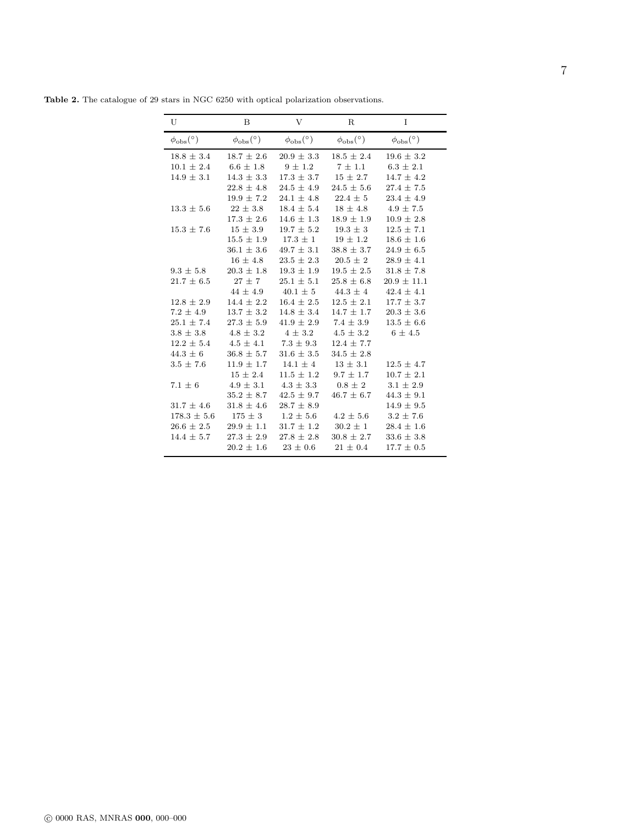| U                         | B                         | V                        | R                         | I                        |
|---------------------------|---------------------------|--------------------------|---------------------------|--------------------------|
| $\phi_{\rm obs} (^\circ)$ | $\phi_{\rm obs} (^\circ)$ | $\phi_{\rm obs}(^\circ)$ | $\phi_{\rm obs} (^\circ)$ | $\phi_{\rm obs}(^\circ)$ |
| $18.8 \pm 3.4$            | $18.7 \pm 2.6$            | $20.9 \pm 3.3$           | $18.5 \pm 2.4$            | $19.6 \pm 3.2$           |
| $10.1 \pm 2.4$            | $6.6 \pm 1.8$             | $9 \pm 1.2$              | $7 \pm 1.1$               | $6.3 \pm 2.1$            |
| $14.9 \pm 3.1$            | $14.3 \pm 3.3$            | $17.3 \pm 3.7$           | $15 \pm 2.7$              | $14.7 \pm 4.2$           |
|                           | $22.8 \pm 4.8$            | $24.5 \pm 4.9$           | $24.5 \pm 5.6$            | $27.4 \pm 7.5$           |
|                           | $19.9 \pm 7.2$            | $24.1 \pm 4.8$           | $22.4 \pm 5$              | $23.4 \pm 4.9$           |
| $13.3 \pm 5.6$            | $22 \pm 3.8$              | $18.4 \pm 5.4$           | $18 \pm 4.8$              | $4.9 \pm 7.5$            |
|                           | $17.3 \pm 2.6$            | $14.6 \pm 1.3$           | $18.9 \pm 1.9$            | $10.9 \pm 2.8$           |
| $15.3 \pm 7.6$            | $15 \pm 3.9$              | $19.7 \pm 5.2$           | $19.3 \pm 3$              | $12.5 \pm 7.1$           |
|                           | $15.5 \pm 1.9$            | $17.3 \pm 1$             | $19 \pm 1.2$              | $18.6 \pm 1.6$           |
|                           | $36.1 \pm 3.6$            | $49.7 \pm 3.1$           | $38.8 \pm 3.7$            | $24.9 \pm 6.5$           |
|                           | $16 \pm 4.8$              | $23.5 \pm 2.3$           | $20.5 \pm 2$              | $28.9 \pm 4.1$           |
| $9.3 \pm 5.8$             | $20.3 \pm 1.8$            | $19.3 \pm 1.9$           | $19.5 \pm 2.5$            | $31.8 \pm 7.8$           |
| $21.7 \pm 6.5$            | $27 \pm 7$                | $25.1 \pm 5.1$           | $25.8 \pm 6.8$            | $20.9 \pm 11.1$          |
|                           | $44 \pm 4.9$              | $40.1 \pm 5$             | $44.3 \pm 4$              | $42.4 \pm 4.1$           |
| $12.8 \pm 2.9$            | $14.4 \pm 2.2$            | $16.4 \pm 2.5$           | $12.5 \pm 2.1$            | $17.7 \pm 3.7$           |
| $7.2 \pm 4.9$             | $13.7 \pm 3.2$            | $14.8 \pm 3.4$           | $14.7 \pm 1.7$            | $20.3 \pm 3.6$           |
| $25.1 \pm 7.4$            | $27.3 \pm 5.9$            | $41.9 \pm 2.9$           | $7.4 \pm 3.9$             | $13.5 \pm 6.6$           |
| $3.8 \pm 3.8$             | $4.8 \pm 3.2$             | $4 \pm 3.2$              | $4.5 \pm 3.2$             | $6 \pm 4.5$              |
| $12.2 \pm 5.4$            | $4.5 \pm 4.1$             | $7.3 \pm 9.3$            | $12.4 \pm 7.7$            |                          |
| $44.3 \pm 6$              | $36.8 \pm 5.7$            | $31.6 \pm 3.5$           | $34.5 \pm 2.8$            |                          |
| $3.5 \pm 7.6$             | $11.9 \pm 1.7$            | $14.1 \pm 4$             | $13 \pm 3.1$              | $12.5 \pm 4.7$           |
|                           | $15 \pm 2.4$              | $11.5 \pm 1.2$           | $9.7 \pm 1.7$             | $10.7 \pm 2.1$           |
| $7.1 \pm 6$               | $4.9 \pm 3.1$             | $4.3 \pm 3.3$            | $0.8 \pm 2$               | $3.1 \pm 2.9$            |
|                           | $35.2 \pm 8.7$            | $42.5 \pm 9.7$           | $46.7 \pm 6.7$            | $44.3 \pm 9.1$           |
| $31.7 \pm 4.6$            | $31.8 \pm 4.6$            | $28.7 \pm 8.9$           |                           | $14.9 \pm 9.5$           |
| $178.3 \pm 5.6$           | $175 \pm 3$               | $1.2 \pm 5.6$            | $4.2 \pm 5.6$             | $3.2 \pm 7.6$            |
| $26.6 \pm 2.5$            | $29.9 \pm 1.1$            | $31.7 \pm 1.2$           | $30.2 \pm 1$              | $28.4 \pm 1.6$           |
| $14.4 \pm 5.7$            | $27.3 \pm 2.9$            | $27.8 \pm 2.8$           | $30.8 \pm 2.7$            | $33.6 \pm 3.8$           |
|                           | $20.2 \pm 1.6$            | $23 \pm 0.6$             | $21 \pm 0.4$              | $17.7 \pm 0.5$           |

Table 2. The catalogue of 29 stars in NGC 6250 with optical polarization observations.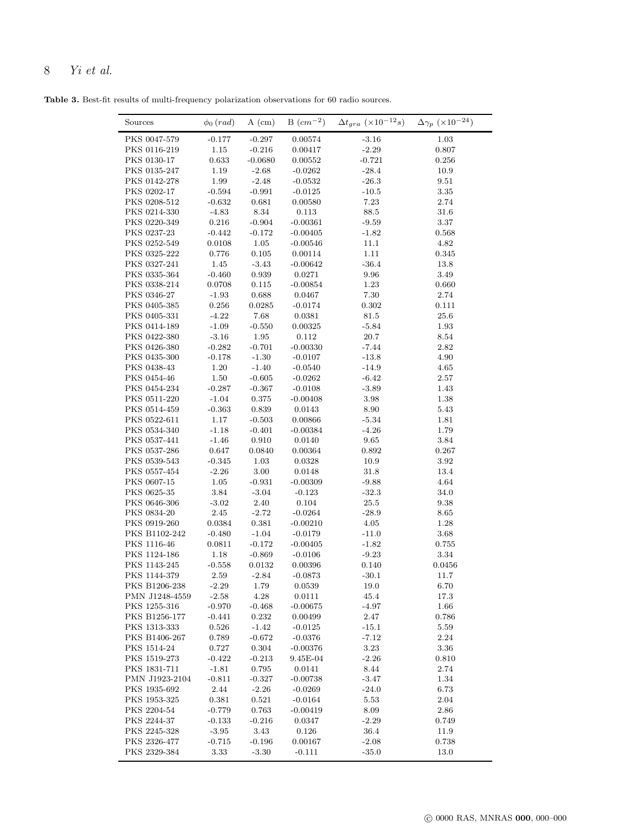# 8 Yi et al.

Table 3. Best-fit results of multi-frequency polarization observations for 60 radio sources.

| Sources                      | $\phi_0$ (rad)       | $A$ (cm)            | $B_{cm^{-2}}$          | $\Delta t_{gra}$ ( $\times 10^{-12}s$ ) | $\Delta\gamma_p~(\times 10^{-24})$ |
|------------------------------|----------------------|---------------------|------------------------|-----------------------------------------|------------------------------------|
| PKS 0047-579                 | $-0.177$             | $-0.297$            | 0.00574                | $-3.16$                                 | 1.03                               |
| PKS 0116-219                 | 1.15                 | $-0.216$            | 0.00417                | $-2.29$                                 | 0.807                              |
| PKS 0130-17                  | 0.633                | $-0.0680$           | 0.00552                | $-0.721$                                | 0.256                              |
| PKS 0135-247                 | 1.19                 | $-2.68$             | $-0.0262$              | $-28.4$                                 | 10.9                               |
| PKS 0142-278                 | 1.99                 | $-2.48$             | $-0.0532$              | $-26.3$                                 | 9.51                               |
| PKS 0202-17                  | $-0.594$             | $-0.991$            | $-0.0125$              | $-10.5$                                 | 3.35                               |
| PKS 0208-512                 | $-0.632$             | 0.681               | 0.00580                | 7.23                                    | 2.74                               |
| PKS 0214-330                 | $-4.83$              | 8.34                | 0.113                  | 88.5                                    | 31.6                               |
| PKS 0220-349                 | 0.216                | $-0.904$            | $-0.00361$             | $-9.59$                                 | 3.37                               |
| PKS 0237-23                  | $-0.442$             | $-0.172$            | $-0.00405$             | $-1.82$                                 | 0.568                              |
| PKS 0252-549                 | 0.0108               | 1.05                | $-0.00546$             | 11.1                                    | 4.82                               |
| PKS 0325-222                 | 0.776                | 0.105               | 0.00114                | 1.11                                    | 0.345                              |
| PKS 0327-241                 | 1.45                 | $-3.43$             | $-0.00642$             | $-36.4$                                 | 13.8                               |
| PKS 0335-364                 | $-0.460$             | 0.939               | 0.0271                 | 9.96                                    | 3.49                               |
| PKS 0338-214                 | 0.0708               | 0.115               | $-0.00854$             | 1.23                                    | 0.660                              |
| PKS 0346-27                  | $-1.93$              | 0.688               | 0.0467                 | 7.30                                    | 2.74                               |
| PKS 0405-385                 | 0.256                | 0.0285              | $-0.0174$              | 0.302                                   | 0.111                              |
| PKS 0405-331                 | $-4.22$              | 7.68                | 0.0381                 | 81.5                                    | 25.6                               |
| PKS 0414-189<br>PKS 0422-380 | $-1.09$<br>$-3.16$   | $-0.550$<br>1.95    | 0.00325<br>0.112       | $-5.84$<br>20.7                         | 1.93<br>8.54                       |
|                              |                      |                     |                        |                                         |                                    |
| PKS 0426-380<br>PKS 0435-300 | $-0.282$<br>$-0.178$ | $-0.701$<br>$-1.30$ | $-0.00330$             | $-7.44$<br>$-13.8$                      | 2.82<br>4.90                       |
| PKS 0438-43                  | 1.20                 | $-1.40$             | $-0.0107$<br>$-0.0540$ | $-14.9$                                 | 4.65                               |
| PKS 0454-46                  | 1.50                 | $-0.605$            | $-0.0262$              | $-6.42$                                 | 2.57                               |
| PKS 0454-234                 | $-0.287$             | $-0.367$            | $-0.0108$              | $-3.89$                                 | 1.43                               |
| PKS 0511-220                 | $-1.04$              | 0.375               | $-0.00408$             | 3.98                                    | 1.38                               |
| PKS 0514-459                 | $-0.363$             | 0.839               | 0.0143                 | 8.90                                    | 5.43                               |
| PKS 0522-611                 | 1.17                 | $-0.503$            | 0.00866                | $-5.34$                                 | 1.81                               |
| PKS 0534-340                 | $-1.18$              | $-0.401$            | $-0.00384$             | $-4.26$                                 | 1.79                               |
| PKS 0537-441                 | $-1.46$              | 0.910               | 0.0140                 | 9.65                                    | 3.84                               |
| PKS 0537-286                 | 0.647                | 0.0840              | 0.00364                | 0.892                                   | 0.267                              |
| PKS 0539-543                 | $-0.345$             | 1.03                | 0.0328                 | 10.9                                    | 3.92                               |
| PKS 0557-454                 | $-2.26$              | 3.00                | 0.0148                 | 31.8                                    | 13.4                               |
| PKS 0607-15                  | 1.05                 | $-0.931$            | $-0.00309$             | $-9.88$                                 | 4.64                               |
| PKS 0625-35                  | 3.84                 | $-3.04$             | $-0.123$               | $-32.3$                                 | 34.0                               |
| PKS 0646-306                 | $-3.02$              | 2.40                | 0.104                  | 25.5                                    | 9.38                               |
| PKS 0834-20                  | 2.45                 | $-2.72$             | $-0.0264$              | $-28.9$                                 | 8.65                               |
| PKS 0919-260                 | 0.0384               | 0.381               | $-0.00210$             | 4.05                                    | 1.28                               |
| PKS B1102-242                | $-0.480$             | $-1.04$             | $-0.0179$              | $-11.0$                                 | 3.68                               |
| PKS 1116-46                  | 0.0811               | $-0.172$            | $-0.00405$             | $-1.82$                                 | 0.755                              |
| PKS 1124-186                 | 1.18                 | $-0.869$            | $-0.0106$              | $-9.23$                                 | $3.34\,$                           |
| PKS 1143-245                 | $-0.558$             | 0.0132              | 0.00396                | 0.140                                   | 0.0456                             |
| PKS 1144-379                 | 2.59                 | 2.84                | $-0.0873$              | $-30.1$                                 | 11.7                               |
| PKS B1206-238                | $-2.29$              | 1.79                | 0.0539                 | 19.0                                    | 6.70                               |
| PMN J1248-4559               | $-2.58$              | $4.28\,$            | 0.0111                 | 45.4                                    | 17.3                               |
| PKS 1255-316                 | $-0.970$             | $-0.468$            | $-0.00675$             | $-4.97$                                 | 1.66                               |
| PKS B1256-177                | $-0.441$             | 0.232               | 0.00499                | 2.47                                    | 0.786                              |
| PKS 1313-333                 | 0.526                | $-1.42$             | $-0.0125$              | $-15.1$                                 | 5.59                               |
| PKS B1406-267                | 0.789                | $-0.672$            | $-0.0376$              | $-7.12$                                 | 2.24                               |
| PKS 1514-24                  | 0.727                | 0.304               | $-0.00376$             | 3.23                                    | 3.36                               |
| PKS 1519-273                 | $-0.422$             | $-0.213$            | 9.45E-04               | $-2.26$                                 | 0.810                              |
| PKS 1831-711                 | $-1.81$              | 0.795               | 0.0141                 | $8.44\,$                                | 2.74                               |
| PMN J1923-2104               | $-0.811$             | $-0.327$            | $-0.00738$             | $-3.47$                                 | 1.34                               |
| PKS 1935-692                 | 2.44                 | $-2.26$             | $-0.0269$              | $-24.0$                                 | 6.73                               |
| PKS 1953-325                 | 0.381                | 0.521               | $-0.0164$              | 5.53                                    | 2.04                               |
| PKS 2204-54                  | $-0.779$             | 0.763               | $-0.00419$             | 8.09                                    | 2.86                               |
| PKS 2244-37                  | $-0.133$             | $-0.216$            | 0.0347                 | $-2.29$                                 | 0.749                              |
| PKS 2245-328                 | $-3.95$              | 3.43                | 0.126                  | 36.4                                    | 11.9                               |
| PKS 2326-477                 | $-0.715$             | $-0.196$            | 0.00167                | $-2.08$                                 | 0.738                              |
| PKS 2329-384                 | 3.33                 | $-3.30$             | $\text{-}0.111$        | $-35.0$                                 | 13.0                               |